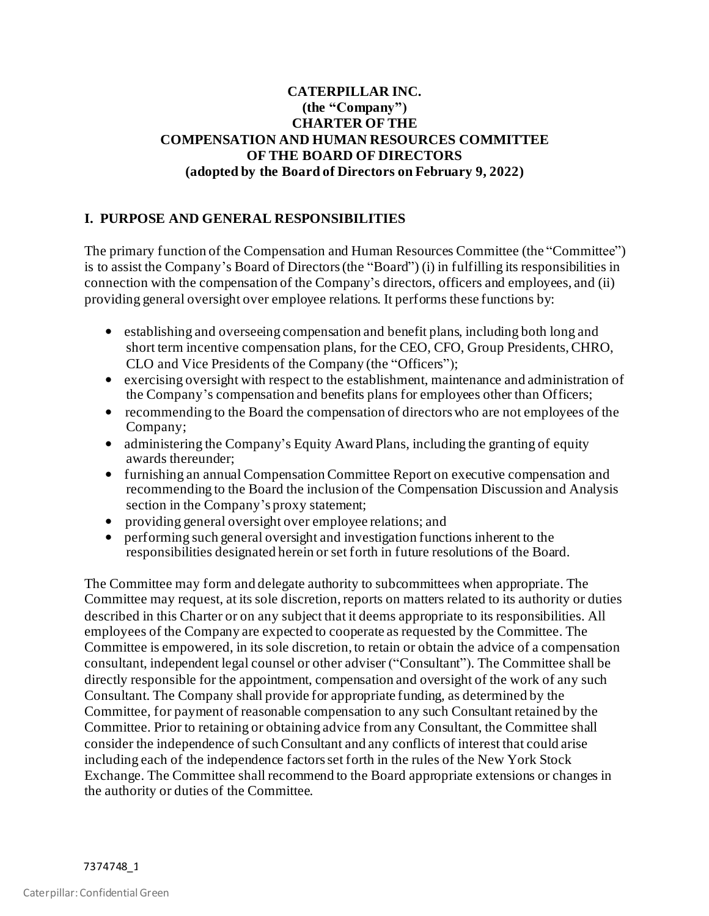## **CATERPILLAR INC. (the "Company") CHARTER OF THE COMPENSATION AND HUMAN RESOURCES COMMITTEE OF THE BOARD OF DIRECTORS (adopted by the Board of Directors on February 9, 2022)**

## **I. PURPOSE AND GENERAL RESPONSIBILITIES**

The primary function of the Compensation and Human Resources Committee (the "Committee") is to assist the Company's Board of Directors (the "Board") (i) in fulfilling its responsibilities in connection with the compensation of the Company's directors, officers and employees, and (ii) providing general oversight over employee relations. It performs these functions by:

- establishing and overseeing compensation and benefit plans, including both long and short term incentive compensation plans, for the CEO, CFO, Group Presidents, CHRO, CLO and Vice Presidents of the Company (the "Officers");
- exercising oversight with respect to the establishment, maintenance and administration of the Company's compensation and benefits plans for employees other than Officers;
- recommending to the Board the compensation of directors who are not employees of the Company;
- administering the Company's Equity Award Plans, including the granting of equity awards thereunder;
- furnishing an annual Compensation Committee Report on executive compensation and recommending to the Board the inclusion of the Compensation Discussion and Analysis section in the Company's proxy statement;
- providing general oversight over employee relations; and
- performing such general oversight and investigation functions inherent to the responsibilities designated herein or set forth in future resolutions of the Board.

The Committee may form and delegate authority to subcommittees when appropriate. The Committee may request, at its sole discretion, reports on matters related to its authority or duties described in this Charter or on any subject that it deems appropriate to its responsibilities. All employees of the Company are expected to cooperate as requested by the Committee. The Committee is empowered, in its sole discretion, to retain or obtain the advice of a compensation consultant, independent legal counsel or other adviser ("Consultant"). The Committee shall be directly responsible for the appointment, compensation and oversight of the work of any such Consultant. The Company shall provide for appropriate funding, as determined by the Committee, for payment of reasonable compensation to any such Consultant retained by the Committee. Prior to retaining or obtaining advice from any Consultant, the Committee shall consider the independence of such Consultant and any conflicts of interest that could arise including each of the independence factors set forth in the rules of the New York Stock Exchange. The Committee shall recommend to the Board appropriate extensions or changes in the authority or duties of the Committee.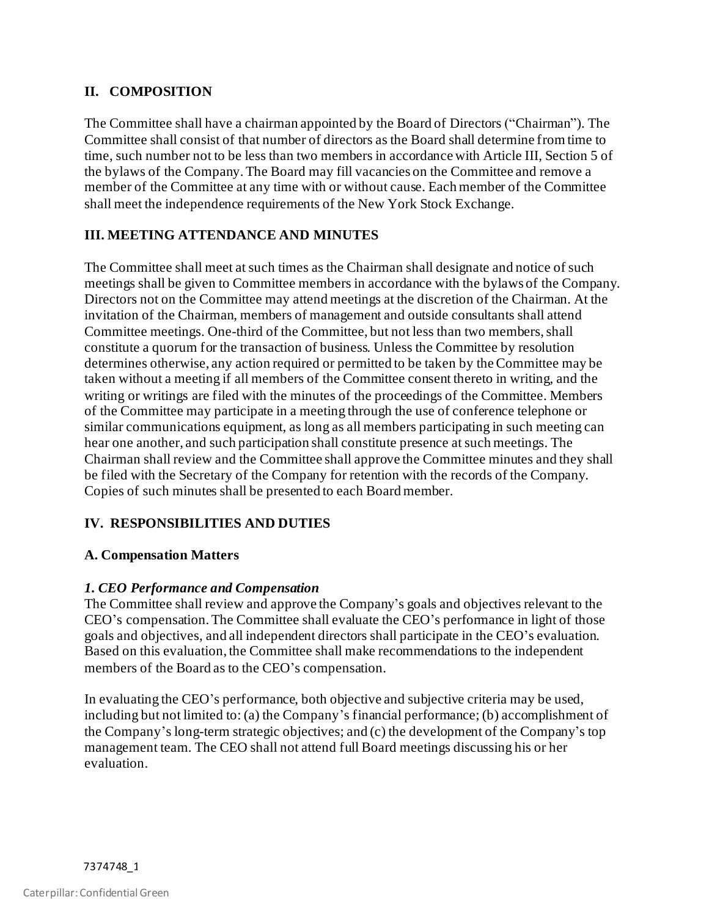## **II. COMPOSITION**

The Committee shall have a chairman appointed by the Board of Directors ("Chairman"). The Committee shall consist of that number of directors as the Board shall determine from time to time, such number not to be less than two members in accordance with Article III, Section 5 of the bylaws of the Company. The Board may fill vacancies on the Committee and remove a member of the Committee at any time with or without cause. Each member of the Committee shall meet the independence requirements of the New York Stock Exchange.

## **III. MEETING ATTENDANCE AND MINUTES**

The Committee shall meet at such times as the Chairman shall designate and notice of such meetings shall be given to Committee members in accordance with the bylaws of the Company. Directors not on the Committee may attend meetings at the discretion of the Chairman. At the invitation of the Chairman, members of management and outside consultants shall attend Committee meetings. One-third of the Committee, but not less than two members, shall constitute a quorum for the transaction of business. Unless the Committee by resolution determines otherwise, any action required or permitted to be taken by theCommittee may be taken without a meeting if all members of the Committee consent thereto in writing, and the writing or writings are filed with the minutes of the proceedings of the Committee. Members of the Committee may participate in a meeting through the use of conference telephone or similar communications equipment, as long as all members participating in such meeting can hear one another, and such participation shall constitute presence at such meetings. The Chairman shall review and the Committee shall approve the Committee minutes and they shall be filed with the Secretary of the Company for retention with the records of the Company. Copies of such minutes shall be presented to each Board member.

# **IV. RESPONSIBILITIES AND DUTIES**

#### **A. Compensation Matters**

#### *1. CEO Performance and Compensation*

The Committee shall review and approve the Company's goals and objectives relevant to the CEO's compensation. The Committee shall evaluate the CEO's performance in light of those goals and objectives, and all independent directors shall participate in the CEO's evaluation. Based on this evaluation, the Committee shall make recommendations to the independent members of the Board as to the CEO's compensation.

In evaluating the CEO's performance, both objective and subjective criteria may be used, including but not limited to: (a) the Company's financial performance; (b) accomplishment of the Company's long-term strategic objectives; and (c) the development of the Company's top management team. The CEO shall not attend full Board meetings discussing his or her evaluation.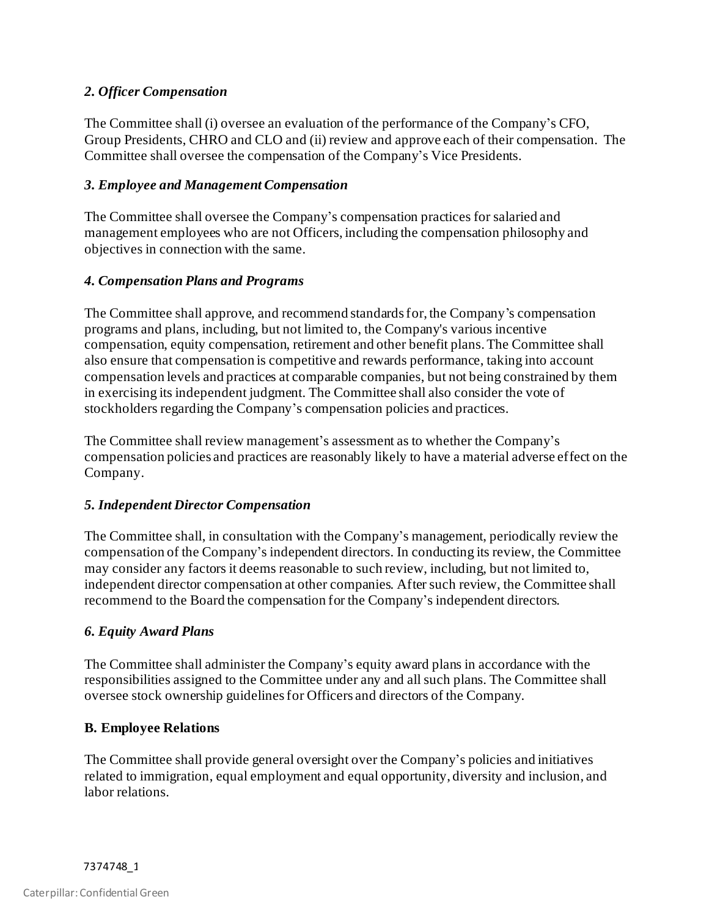## *2. Officer Compensation*

The Committee shall (i) oversee an evaluation of the performance of the Company's CFO, Group Presidents, CHRO and CLO and (ii) review and approve each of their compensation. The Committee shall oversee the compensation of the Company's Vice Presidents.

## *3. Employee and Management Compensation*

The Committee shall oversee the Company's compensation practices for salaried and management employees who are not Officers, including the compensation philosophy and objectives in connection with the same.

## *4. Compensation Plans and Programs*

The Committee shall approve, and recommend standards for, the Company's compensation programs and plans, including, but not limited to, the Company's various incentive compensation, equity compensation, retirement and other benefit plans. The Committee shall also ensure that compensation is competitive and rewards performance, taking into account compensation levels and practices at comparable companies, but not being constrained by them in exercising its independent judgment. The Committee shall also consider the vote of stockholders regarding the Company's compensation policies and practices.

The Committee shall review management's assessment as to whether the Company's compensation policies and practices are reasonably likely to have a material adverse effect on the Company.

#### *5. Independent Director Compensation*

The Committee shall, in consultation with the Company's management, periodically review the compensation of the Company's independent directors. In conducting its review, the Committee may consider any factors it deems reasonable to such review, including, but not limited to, independent director compensation at other companies. After such review, the Committee shall recommend to the Board the compensation for the Company's independent directors.

#### *6. Equity Award Plans*

The Committee shall administer the Company's equity award plans in accordance with the responsibilities assigned to the Committee under any and all such plans. The Committee shall oversee stock ownership guidelines for Officers and directors of the Company.

#### **B. Employee Relations**

The Committee shall provide general oversight over the Company's policies and initiatives related to immigration, equal employment and equal opportunity, diversity and inclusion, and labor relations.